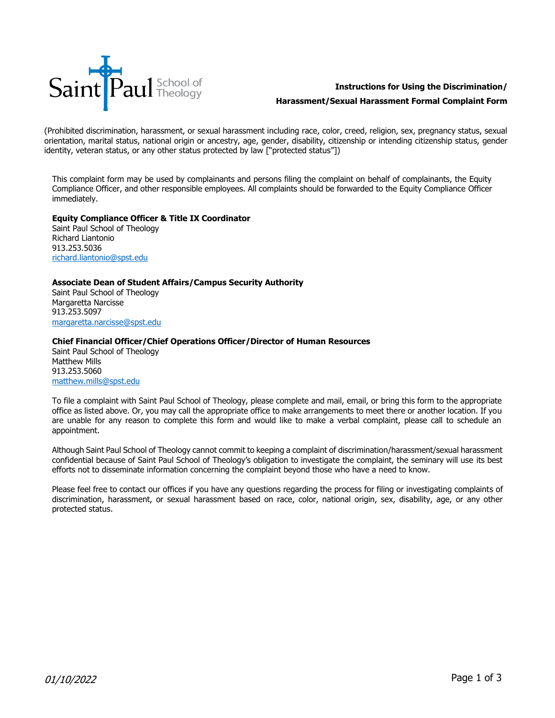

# **Instructions for Using the Discrimination/**

# **Harassment/Sexual Harassment Formal Complaint Form**

(Prohibited discrimination, harassment, or sexual harassment including race, color, creed, religion, sex, pregnancy status, sexual orientation, marital status, national origin or ancestry, age, gender, disability, citizenship or intending citizenship status, gender identity, veteran status, or any other status protected by law ["protected status"])

This complaint form may be used by complainants and persons filing the complaint on behalf of complainants, the Equity Compliance Officer, and other responsible employees. All complaints should be forwarded to the Equity Compliance Officer immediately.

# **Equity Compliance Officer & Title IX Coordinator**

Saint Paul School of Theology Richard Liantonio 913.253.5036 [richard.liantonio@spst.edu](mailto:leanna.walkowiak@spst.edu)

#### **Associate Dean of Student Affairs/Campus Security Authority**

Saint Paul School of Theology Margaretta Narcisse 913.253.5097 [margaretta.narcisse@spst.edu](mailto:margaretta.narcisse@spst.edu)

# **Chief Financial Officer/Chief Operations Officer/Director of Human Resources**

Saint Paul School of Theology Matthew Mills 913.253.5060 [matthew.mills@spst.edu](mailto:matthew.mills@spst.edu)

To file a complaint with Saint Paul School of Theology, please complete and mail, email, or bring this form to the appropriate office as listed above. Or, you may call the appropriate office to make arrangements to meet there or another location. If you are unable for any reason to complete this form and would like to make a verbal complaint, please call to schedule an appointment.

Although Saint Paul School of Theology cannot commit to keeping a complaint of discrimination/harassment/sexual harassment confidential because of Saint Paul School of Theology's obligation to investigate the complaint, the seminary will use its best efforts not to disseminate information concerning the complaint beyond those who have a need to know.

Please feel free to contact our offices if you have any questions regarding the process for filing or investigating complaints of discrimination, harassment, or sexual harassment based on race, color, national origin, sex, disability, age, or any other protected status.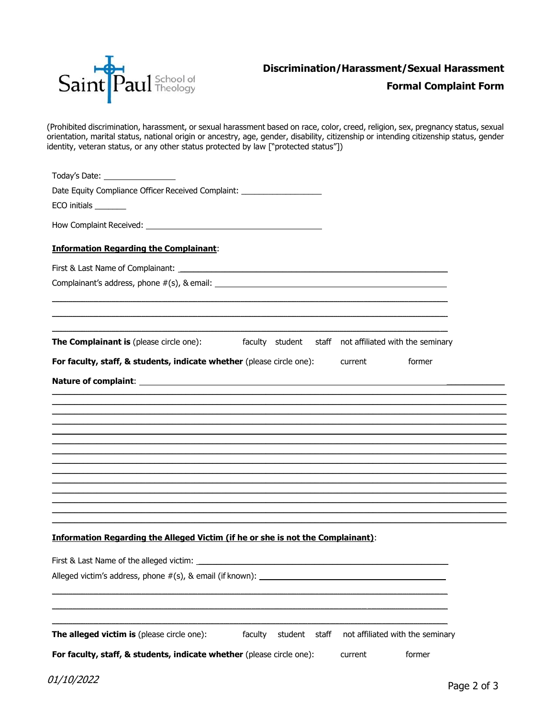

# **Formal Complaint Form**

(Prohibited discrimination, harassment, or sexual harassment based on race, color, creed, religion, sex, pregnancy status, sexual orientation, marital status, national origin or ancestry, age, gender, disability, citizenship or intending citizenship status, gender identity, veteran status, or any other status protected by law ["protected status"])

| Today's Date: __________________                                                                           |          |
|------------------------------------------------------------------------------------------------------------|----------|
| Date Equity Compliance Officer Received Complaint: _____________________________                           |          |
| ECO initials _______                                                                                       |          |
|                                                                                                            |          |
| <b>Information Regarding the Complainant:</b>                                                              |          |
|                                                                                                            |          |
|                                                                                                            |          |
|                                                                                                            |          |
| The Complainant is (please circle one): faculty student staff not affiliated with the seminary             |          |
| <b>For faculty, staff, &amp; students, indicate whether</b> (please circle one): current<br>former         |          |
|                                                                                                            |          |
|                                                                                                            |          |
|                                                                                                            |          |
|                                                                                                            |          |
|                                                                                                            |          |
|                                                                                                            |          |
|                                                                                                            |          |
|                                                                                                            |          |
|                                                                                                            |          |
| <b>Information Regarding the Alleged Victim (if he or she is not the Complainant):</b>                     |          |
|                                                                                                            |          |
| Alleged victim's address, phone #(s), & email (if known): _______________________                          |          |
|                                                                                                            |          |
|                                                                                                            |          |
|                                                                                                            |          |
| not affiliated with the seminary<br>The alleged victim is (please circle one):<br>faculty<br>student staff |          |
| For faculty, staff, & students, indicate whether (please circle one):<br>former<br>current                 |          |
| <i>01/10/2022</i>                                                                                          | $D = 22$ |